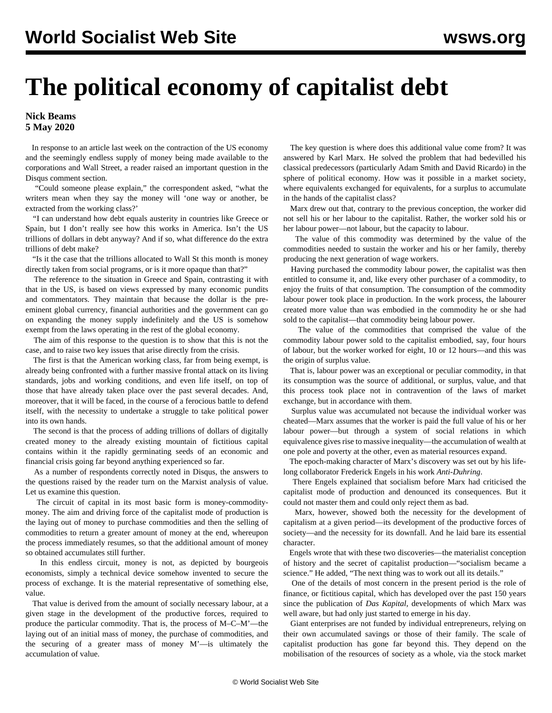## **The political economy of capitalist debt**

## **Nick Beams 5 May 2020**

 In response to an article last week on the contraction of the US economy and the seemingly endless supply of money being made available to the corporations and Wall Street, a reader raised an important question in the Disqus comment section.

 "Could someone please explain," the correspondent asked, "what the writers mean when they say the money will 'one way or another, be extracted from the working class?'

 "I can understand how debt equals austerity in countries like Greece or Spain, but I don't really see how this works in America. Isn't the US trillions of dollars in debt anyway? And if so, what difference do the extra trillions of debt make?

 "Is it the case that the trillions allocated to Wall St this month is money directly taken from social programs, or is it more opaque than that?"

 The reference to the situation in Greece and Spain, contrasting it with that in the US, is based on views expressed by many economic pundits and commentators. They maintain that because the dollar is the preeminent global currency, financial authorities and the government can go on expanding the money supply indefinitely and the US is somehow exempt from the laws operating in the rest of the global economy.

 The aim of this response to the question is to show that this is not the case, and to raise two key issues that arise directly from the crisis.

 The first is that the American working class, far from being exempt, is already being confronted with a further massive frontal attack on its living standards, jobs and working conditions, and even life itself, on top of those that have already taken place over the past several decades. And, moreover, that it will be faced, in the course of a ferocious battle to defend itself, with the necessity to undertake a struggle to take political power into its own hands.

 The second is that the process of adding trillions of dollars of digitally created money to the already existing mountain of fictitious capital contains within it the rapidly germinating seeds of an economic and financial crisis going far beyond anything experienced so far.

 As a number of respondents correctly noted in Disqus, the answers to the questions raised by the reader turn on the Marxist analysis of value. Let us examine this question.

 The circuit of capital in its most basic form is money-commoditymoney. The aim and driving force of the capitalist mode of production is the laying out of money to purchase commodities and then the selling of commodities to return a greater amount of money at the end, whereupon the process immediately resumes, so that the additional amount of money so obtained accumulates still further.

 In this endless circuit, money is not, as depicted by bourgeois economists, simply a technical device somehow invented to secure the process of exchange. It is the material representative of something else, value.

 That value is derived from the amount of socially necessary labour, at a given stage in the development of the productive forces, required to produce the particular commodity. That is, the process of M–C–M'—the laying out of an initial mass of money, the purchase of commodities, and the securing of a greater mass of money M'—is ultimately the accumulation of value.

 The key question is where does this additional value come from? It was answered by Karl Marx. He solved the problem that had bedevilled his classical predecessors (particularly Adam Smith and David Ricardo) in the sphere of political economy. How was it possible in a market society, where equivalents exchanged for equivalents, for a surplus to accumulate in the hands of the capitalist class?

 Marx drew out that, contrary to the previous conception, the worker did not sell his or her labour to the capitalist. Rather, the worker sold his or her labour power—not labour, but the capacity to labour.

 The value of this commodity was determined by the value of the commodities needed to sustain the worker and his or her family, thereby producing the next generation of wage workers.

 Having purchased the commodity labour power, the capitalist was then entitled to consume it, and, like every other purchaser of a commodity, to enjoy the fruits of that consumption. The consumption of the commodity labour power took place in production. In the work process, the labourer created more value than was embodied in the commodity he or she had sold to the capitalist—that commodity being labour power.

 The value of the commodities that comprised the value of the commodity labour power sold to the capitalist embodied, say, four hours of labour, but the worker worked for eight, 10 or 12 hours—and this was the origin of surplus value.

 That is, labour power was an exceptional or peculiar commodity, in that its consumption was the source of additional, or surplus, value, and that this process took place not in contravention of the laws of market exchange, but in accordance with them.

 Surplus value was accumulated not because the individual worker was cheated—Marx assumes that the worker is paid the full value of his or her labour power—but through a system of social relations in which equivalence gives rise to massive inequality—the accumulation of wealth at one pole and poverty at the other, even as material resources expand.

 The epoch-making character of Marx's discovery was set out by his lifelong collaborator Frederick Engels in his work *Anti-Duhring*.

 There Engels explained that socialism before Marx had criticised the capitalist mode of production and denounced its consequences. But it could not master them and could only reject them as bad.

 Marx, however, showed both the necessity for the development of capitalism at a given period—its development of the productive forces of society—and the necessity for its downfall. And he laid bare its essential character.

 Engels wrote that with these two discoveries—the materialist conception of history and the secret of capitalist production—"socialism became a science." He added, "The next thing was to work out all its details."

 One of the details of most concern in the present period is the role of finance, or fictitious capital, which has developed over the past 150 years since the publication of *Das Kapital*, developments of which Marx was well aware, but had only just started to emerge in his day.

 Giant enterprises are not funded by individual entrepreneurs, relying on their own accumulated savings or those of their family. The scale of capitalist production has gone far beyond this. They depend on the mobilisation of the resources of society as a whole, via the stock market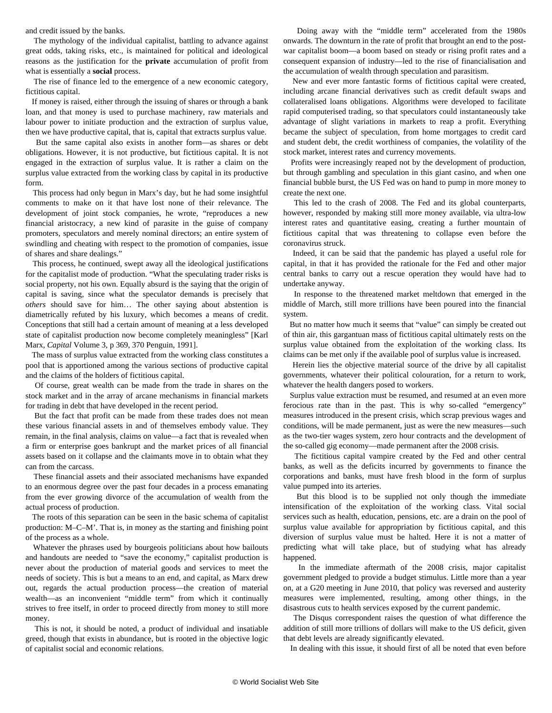and credit issued by the banks.

 The mythology of the individual capitalist, battling to advance against great odds, taking risks, etc., is maintained for political and ideological reasons as the justification for the **private** accumulation of profit from what is essentially a **social** process.

 The rise of finance led to the emergence of a new economic category, fictitious capital.

 If money is raised, either through the issuing of shares or through a bank loan, and that money is used to purchase machinery, raw materials and labour power to initiate production and the extraction of surplus value, then we have productive capital, that is, capital that extracts surplus value.

 But the same capital also exists in another form—as shares or debt obligations. However, it is not productive, but fictitious capital. It is not engaged in the extraction of surplus value. It is rather a claim on the surplus value extracted from the working class by capital in its productive form.

 This process had only begun in Marx's day, but he had some insightful comments to make on it that have lost none of their relevance. The development of joint stock companies, he wrote, "reproduces a new financial aristocracy, a new kind of parasite in the guise of company promoters, speculators and merely nominal directors; an entire system of swindling and cheating with respect to the promotion of companies, issue of shares and share dealings."

 This process, he continued, swept away all the ideological justifications for the capitalist mode of production. "What the speculating trader risks is social property, not his own. Equally absurd is the saying that the origin of capital is saving, since what the speculator demands is precisely that *others* should save for him… The other saying about abstention is diametrically refuted by his luxury, which becomes a means of credit. Conceptions that still had a certain amount of meaning at a less developed state of capitalist production now become completely meaningless" [Karl Marx, *Capital* Volume 3, p 369, 370 Penguin, 1991].

 The mass of surplus value extracted from the working class constitutes a pool that is apportioned among the various sections of productive capital and the claims of the holders of fictitious capital.

 Of course, great wealth can be made from the trade in shares on the stock market and in the array of arcane mechanisms in financial markets for trading in debt that have developed in the recent period.

 But the fact that profit can be made from these trades does not mean these various financial assets in and of themselves embody value. They remain, in the final analysis, claims on value—a fact that is revealed when a firm or enterprise goes bankrupt and the market prices of all financial assets based on it collapse and the claimants move in to obtain what they can from the carcass.

 These financial assets and their associated mechanisms have expanded to an enormous degree over the past four decades in a process emanating from the ever growing divorce of the accumulation of wealth from the actual process of production.

 The roots of this separation can be seen in the basic schema of capitalist production: M–C–M'. That is, in money as the starting and finishing point of the process as a whole.

 Whatever the phrases used by bourgeois politicians about how bailouts and handouts are needed to "save the economy," capitalist production is never about the production of material goods and services to meet the needs of society. This is but a means to an end, and capital, as Marx drew out, regards the actual production process—the creation of material wealth—as an inconvenient "middle term" from which it continually strives to free itself, in order to proceed directly from money to still more money.

 This is not, it should be noted, a product of individual and insatiable greed, though that exists in abundance, but is rooted in the objective logic of capitalist social and economic relations.

 Doing away with the "middle term" accelerated from the 1980s onwards. The downturn in the rate of profit that brought an end to the postwar capitalist boom—a boom based on steady or rising profit rates and a consequent expansion of industry—led to the rise of financialisation and the accumulation of wealth through speculation and parasitism.

 New and ever more fantastic forms of fictitious capital were created, including arcane financial derivatives such as credit default swaps and collateralised loans obligations. Algorithms were developed to facilitate rapid computerised trading, so that speculators could instantaneously take advantage of slight variations in markets to reap a profit. Everything became the subject of speculation, from home mortgages to credit card and student debt, the credit worthiness of companies, the volatility of the stock market, interest rates and currency movements.

 Profits were increasingly reaped not by the development of production, but through gambling and speculation in this giant casino, and when one financial bubble burst, the US Fed was on hand to pump in more money to create the next one.

 This led to the crash of 2008. The Fed and its global counterparts, however, responded by making still more money available, via ultra-low interest rates and quantitative easing, creating a further mountain of fictitious capital that was threatening to collapse even before the coronavirus struck.

 Indeed, it can be said that the pandemic has played a useful role for capital, in that it has provided the rationale for the Fed and other major central banks to carry out a rescue operation they would have had to undertake anyway.

 In response to the threatened market meltdown that emerged in the middle of March, still more trillions have been poured into the financial system.

 But no matter how much it seems that "value" can simply be created out of thin air, this gargantuan mass of fictitious capital ultimately rests on the surplus value obtained from the exploitation of the working class. Its claims can be met only if the available pool of surplus value is increased.

 Herein lies the objective material source of the drive by all capitalist governments, whatever their political colouration, for a return to work, whatever the health dangers posed to workers.

 Surplus value extraction must be resumed, and resumed at an even more ferocious rate than in the past. This is why so-called "emergency" measures introduced in the present crisis, which scrap previous wages and conditions, will be made permanent, just as were the new measures—such as the two-tier wages system, zero hour contracts and the development of the so-called gig economy—made permanent after the 2008 crisis.

 The fictitious capital vampire created by the Fed and other central banks, as well as the deficits incurred by governments to finance the corporations and banks, must have fresh blood in the form of surplus value pumped into its arteries.

 But this blood is to be supplied not only though the immediate intensification of the exploitation of the working class. Vital social services such as health, education, pensions, etc. are a drain on the pool of surplus value available for appropriation by fictitious capital, and this diversion of surplus value must be halted. Here it is not a matter of predicting what will take place, but of studying what has already happened.

 In the immediate aftermath of the 2008 crisis, major capitalist government pledged to provide a budget stimulus. Little more than a year on, at a G20 meeting in June 2010, that policy was reversed and austerity measures were implemented, resulting, among other things, in the disastrous cuts to health services exposed by the current pandemic.

 The Disqus correspondent raises the question of what difference the addition of still more trillions of dollars will make to the US deficit, given that debt levels are already significantly elevated.

In dealing with this issue, it should first of all be noted that even before